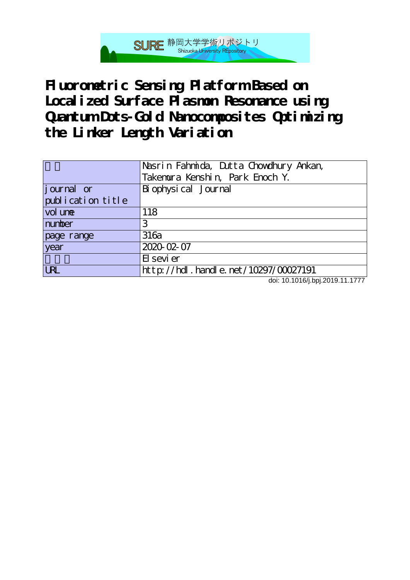

**Fluorometric Sensing Platform Based on** Local i zed Surface Plasmon Resonance using **Quantum Dots-Gold Nanocomposites Optimizing the Linker Length Variation**

|                               | Nasrin Fahmida, Dutta Chowdhury Ankan,      |
|-------------------------------|---------------------------------------------|
|                               | Takemura Kenshin, Park Enoch Y.             |
| <i>j</i> ournal or            | Bi ophysical Journal                        |
| publication title             |                                             |
| vol une                       | 118                                         |
| number                        | 3                                           |
| page range                    | 316a                                        |
| year                          | 2020-02-07                                  |
|                               | El sevi er                                  |
| <b>LRL</b>                    | $http$ : //hdl. handle. net /10297/00027191 |
| doi: 10 1010 hoi 0010 11 1777 |                                             |

doi: 10.1016/j.bpj.2019.11.1777